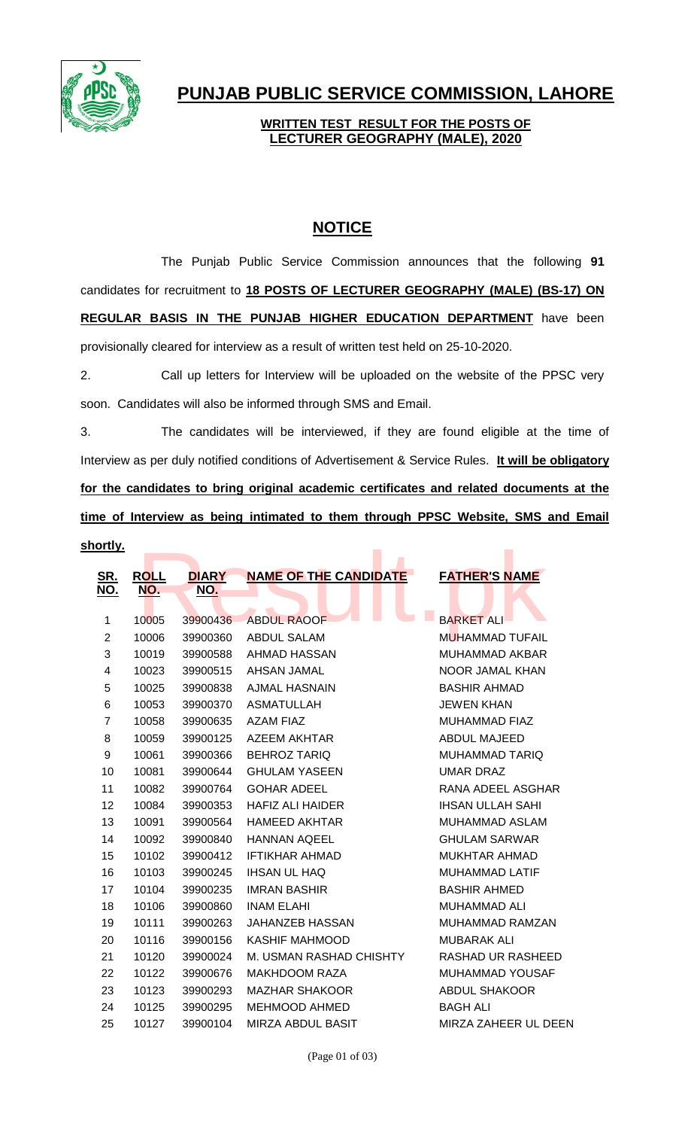

## **PUNJAB PUBLIC SERVICE COMMISSION, LAHORE**

## **WRITTEN TEST RESULT FOR THE POSTS OF LECTURER GEOGRAPHY (MALE), 2020**

## **NOTICE**

The Punjab Public Service Commission announces that the following **91** candidates for recruitment to **18 POSTS OF LECTURER GEOGRAPHY (MALE) (BS-17) ON REGULAR BASIS IN THE PUNJAB HIGHER EDUCATION DEPARTMENT** have been provisionally cleared for interview as a result of written test held on 25-10-2020.

2. Call up letters for Interview will be uploaded on the website of the PPSC very soon. Candidates will also be informed through SMS and Email.

3. The candidates will be interviewed, if they are found eligible at the time of Interview as per duly notified conditions of Advertisement & Service Rules. **It will be obligatory for the candidates to bring original academic certificates and related documents at the time of Interview as being intimated to them through PPSC Website, SMS and Email** 

**shortly.**

| <u>ortly.</u>    |             |              |                              |                         |
|------------------|-------------|--------------|------------------------------|-------------------------|
| <u>SR.</u>       | <b>ROLL</b> | <b>DIARY</b> | <b>NAME OF THE CANDIDATE</b> | <b>FATHER'S NAME</b>    |
| <u>NO.</u>       | <u>NO.</u>  | <b>NO.</b>   |                              |                         |
|                  |             |              |                              |                         |
| 1                | 10005       | 39900436     | <b>ABDUL RAOOF</b>           | <b>BARKET ALI</b>       |
| $\overline{2}$   | 10006       | 39900360     | <b>ABDUL SALAM</b>           | MUHAMMAD TUFAIL         |
| 3                | 10019       | 39900588     | AHMAD HASSAN                 | <b>MUHAMMAD AKBAR</b>   |
| 4                | 10023       | 39900515     | <b>AHSAN JAMAL</b>           | NOOR JAMAL KHAN         |
| 5                | 10025       | 39900838     | <b>AJMAL HASNAIN</b>         | <b>BASHIR AHMAD</b>     |
| 6                | 10053       | 39900370     | <b>ASMATULLAH</b>            | <b>JEWEN KHAN</b>       |
| $\overline{7}$   | 10058       | 39900635     | <b>AZAM FIAZ</b>             | MUHAMMAD FIAZ           |
| 8                | 10059       | 39900125     | <b>AZEEM AKHTAR</b>          | <b>ABDUL MAJEED</b>     |
| $\boldsymbol{9}$ | 10061       | 39900366     | <b>BEHROZ TARIQ</b>          | <b>MUHAMMAD TARIQ</b>   |
| 10               | 10081       | 39900644     | <b>GHULAM YASEEN</b>         | <b>UMAR DRAZ</b>        |
| 11               | 10082       | 39900764     | <b>GOHAR ADEEL</b>           | RANA ADEEL ASGHAR       |
| 12               | 10084       | 39900353     | <b>HAFIZ ALI HAIDER</b>      | <b>IHSAN ULLAH SAHI</b> |
| 13               | 10091       | 39900564     | <b>HAMEED AKHTAR</b>         | MUHAMMAD ASLAM          |
| 14               | 10092       | 39900840     | <b>HANNAN AQEEL</b>          | <b>GHULAM SARWAR</b>    |
| 15               | 10102       | 39900412     | <b>IFTIKHAR AHMAD</b>        | <b>MUKHTAR AHMAD</b>    |
| 16               | 10103       | 39900245     | <b>IHSAN UL HAQ</b>          | <b>MUHAMMAD LATIF</b>   |
| 17               | 10104       | 39900235     | <b>IMRAN BASHIR</b>          | <b>BASHIR AHMED</b>     |
| 18               | 10106       | 39900860     | <b>INAM ELAHI</b>            | <b>MUHAMMAD ALI</b>     |
| 19               | 10111       | 39900263     | <b>JAHANZEB HASSAN</b>       | MUHAMMAD RAMZAN         |
| 20               | 10116       | 39900156     | <b>KASHIF MAHMOOD</b>        | <b>MUBARAK ALI</b>      |
| 21               | 10120       | 39900024     | M. USMAN RASHAD CHISHTY      | RASHAD UR RASHEED       |
| 22               | 10122       | 39900676     | <b>MAKHDOOM RAZA</b>         | MUHAMMAD YOUSAF         |
| 23               | 10123       | 39900293     | <b>MAZHAR SHAKOOR</b>        | <b>ABDUL SHAKOOR</b>    |
| 24               | 10125       | 39900295     | <b>MEHMOOD AHMED</b>         | <b>BAGH ALI</b>         |
| 25               | 10127       | 39900104     | <b>MIRZA ABDUL BASIT</b>     | MIRZA ZAHEER UL DEEN    |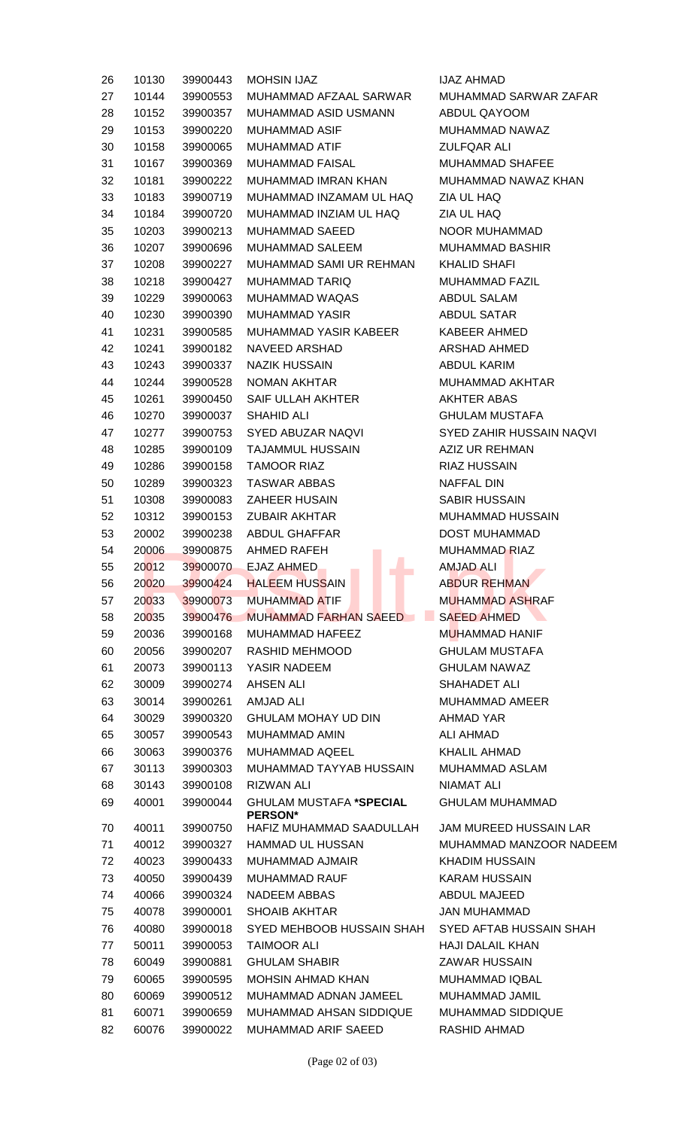| 26 | 10130 | 39900443 | <b>MOHSIN IJAZ</b>                | <b>IJAZ AHMAD</b>             |
|----|-------|----------|-----------------------------------|-------------------------------|
| 27 | 10144 | 39900553 | MUHAMMAD AFZAAL SARWAR            | MUHAMMAD SARWAR ZAFAR         |
| 28 | 10152 | 39900357 | MUHAMMAD ASID USMANN              | ABDUL QAYOOM                  |
| 29 | 10153 | 39900220 | MUHAMMAD ASIF                     | MUHAMMAD NAWAZ                |
| 30 | 10158 | 39900065 | MUHAMMAD ATIF                     | ZULFQAR ALI                   |
| 31 | 10167 | 39900369 | MUHAMMAD FAISAL                   | <b>MUHAMMAD SHAFEE</b>        |
| 32 | 10181 | 39900222 | MUHAMMAD IMRAN KHAN               | MUHAMMAD NAWAZ KHAN           |
| 33 | 10183 | 39900719 | MUHAMMAD INZAMAM UL HAQ           | ZIA UL HAQ                    |
| 34 | 10184 | 39900720 | MUHAMMAD INZIAM UL HAQ            | ZIA UL HAQ                    |
| 35 | 10203 | 39900213 | MUHAMMAD SAEED                    | NOOR MUHAMMAD                 |
| 36 | 10207 | 39900696 | MUHAMMAD SALEEM                   | <b>MUHAMMAD BASHIR</b>        |
| 37 | 10208 | 39900227 | MUHAMMAD SAMI UR REHMAN           | <b>KHALID SHAFI</b>           |
| 38 | 10218 | 39900427 | MUHAMMAD TARIQ                    | MUHAMMAD FAZIL                |
| 39 | 10229 | 39900063 | MUHAMMAD WAQAS                    | <b>ABDUL SALAM</b>            |
| 40 | 10230 | 39900390 | <b>MUHAMMAD YASIR</b>             | <b>ABDUL SATAR</b>            |
| 41 | 10231 | 39900585 | MUHAMMAD YASIR KABEER             | <b>KABEER AHMED</b>           |
|    |       | 39900182 |                                   | ARSHAD AHMED                  |
| 42 | 10241 |          | NAVEED ARSHAD                     |                               |
| 43 | 10243 | 39900337 | NAZIK HUSSAIN                     | ABDUL KARIM                   |
| 44 | 10244 | 39900528 | NOMAN AKHTAR                      | MUHAMMAD AKHTAR               |
| 45 | 10261 | 39900450 | SAIF ULLAH AKHTER                 | <b>AKHTER ABAS</b>            |
| 46 | 10270 | 39900037 | SHAHID ALI                        | <b>GHULAM MUSTAFA</b>         |
| 47 | 10277 | 39900753 | SYED ABUZAR NAQVI                 | SYED ZAHIR HUSSAIN NAQVI      |
| 48 | 10285 | 39900109 | TAJAMMUL HUSSAIN                  | AZIZ UR REHMAN                |
| 49 | 10286 | 39900158 | <b>TAMOOR RIAZ</b>                | <b>RIAZ HUSSAIN</b>           |
| 50 | 10289 | 39900323 | <b>TASWAR ABBAS</b>               | NAFFAL DIN                    |
| 51 | 10308 | 39900083 | ZAHEER HUSAIN                     | <b>SABIR HUSSAIN</b>          |
| 52 | 10312 | 39900153 | ZUBAIR AKHTAR                     | MUHAMMAD HUSSAIN              |
| 53 | 20002 | 39900238 | ABDUL GHAFFAR                     | DOST MUHAMMAD                 |
| 54 | 20006 | 39900875 | AHMED RAFEH                       | <b>MUHAMMAD RIAZ</b>          |
| 55 | 20012 |          | 39900070 EJAZ AHMED<br>a i        | AMJAD ALI                     |
| 56 | 20020 | 39900424 | <b>HALEEM HUSSAIN</b>             | <b>ABDUR REHMAN</b>           |
| 57 | 20033 | 39900073 | <b>MUHAMMAD ATIF</b>              | <b>MUHAMMAD ASHRAF</b>        |
| 58 | 20035 | 39900476 | MUHAMMAD FARHAN SAEED SAEED AHMED |                               |
| 59 | 20036 | 39900168 | MUHAMMAD HAFEEZ                   | <b>MUHAMMAD HANIF</b>         |
| 60 | 20056 | 39900207 | RASHID MEHMOOD                    | <b>GHULAM MUSTAFA</b>         |
| 61 | 20073 | 39900113 | YASIR NADEEM                      | <b>GHULAM NAWAZ</b>           |
| 62 | 30009 | 39900274 | AHSEN ALI                         | SHAHADET ALI                  |
| 63 | 30014 | 39900261 | <b>AMJAD ALI</b>                  | MUHAMMAD AMEER                |
| 64 | 30029 | 39900320 | <b>GHULAM MOHAY UD DIN</b>        | AHMAD YAR                     |
| 65 | 30057 | 39900543 | MUHAMMAD AMIN                     | <b>ALI AHMAD</b>              |
| 66 | 30063 | 39900376 | MUHAMMAD AQEEL                    | <b>KHALIL AHMAD</b>           |
| 67 | 30113 | 39900303 | MUHAMMAD TAYYAB HUSSAIN           | MUHAMMAD ASLAM                |
| 68 | 30143 | 39900108 | <b>RIZWAN ALI</b>                 | NIAMAT ALI                    |
| 69 | 40001 | 39900044 | <b>GHULAM MUSTAFA *SPECIAL</b>    | <b>GHULAM MUHAMMAD</b>        |
|    |       |          | <b>PERSON*</b>                    |                               |
| 70 | 40011 | 39900750 | HAFIZ MUHAMMAD SAADULLAH          | <b>JAM MUREED HUSSAIN LAR</b> |
| 71 | 40012 | 39900327 | HAMMAD UL HUSSAN                  | MUHAMMAD MANZOOR NADEEM       |
| 72 | 40023 | 39900433 | MUHAMMAD AJMAIR                   | <b>KHADIM HUSSAIN</b>         |
| 73 | 40050 | 39900439 | <b>MUHAMMAD RAUF</b>              | <b>KARAM HUSSAIN</b>          |
| 74 | 40066 | 39900324 | NADEEM ABBAS                      | ABDUL MAJEED                  |
| 75 | 40078 | 39900001 | <b>SHOAIB AKHTAR</b>              | JAN MUHAMMAD                  |
| 76 | 40080 | 39900018 | SYED MEHBOOB HUSSAIN SHAH         | SYED AFTAB HUSSAIN SHAH       |
| 77 | 50011 | 39900053 | <b>TAIMOOR ALI</b>                | <b>HAJI DALAIL KHAN</b>       |
| 78 | 60049 | 39900881 | <b>GHULAM SHABIR</b>              | <b>ZAWAR HUSSAIN</b>          |
| 79 | 60065 | 39900595 | MOHSIN AHMAD KHAN                 | <b>MUHAMMAD IQBAL</b>         |
| 80 | 60069 | 39900512 | MUHAMMAD ADNAN JAMEEL             | MUHAMMAD JAMIL                |
| 81 | 60071 | 39900659 | MUHAMMAD AHSAN SIDDIQUE           | <b>MUHAMMAD SIDDIQUE</b>      |
| 82 | 60076 | 39900022 | MUHAMMAD ARIF SAEED               | RASHID AHMAD                  |
|    |       |          |                                   |                               |